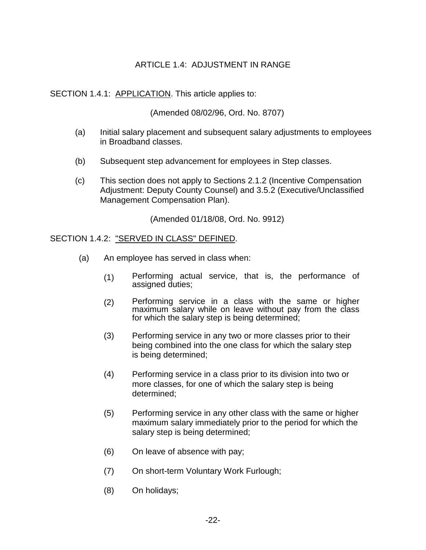# ARTICLE 1.4: ADJUSTMENT IN RANGE

SECTION 1.4.1: APPLICATION. This article applies to:

(Amended 08/02/96, Ord. No. 8707)

- (a) Initial salary placement and subsequent salary adjustments to employees in Broadband classes.
- (b) Subsequent step advancement for employees in Step classes.
- (c) This section does not apply to Sections 2.1.2 (Incentive Compensation Adjustment: Deputy County Counsel) and 3.5.2 (Executive/Unclassified Management Compensation Plan).

(Amended 01/18/08, Ord. No. 9912)

#### SECTION 1.4.2: "SERVED IN CLASS" DEFINED.

- (a) An employee has served in class when:
	- (1) Performing actual service, that is, the performance of assigned duties;
	- (2) Performing service in a class with the same or higher maximum salary while on leave without pay from the class for which the salary step is being determined;
	- (3) Performing service in any two or more classes prior to their being combined into the one class for which the salary step is being determined;
	- (4) Performing service in a class prior to its division into two or more classes, for one of which the salary step is being determined;
	- (5) Performing service in any other class with the same or higher maximum salary immediately prior to the period for which the salary step is being determined;
	- (6) On leave of absence with pay;
	- (7) On short-term Voluntary Work Furlough;
	- (8) On holidays;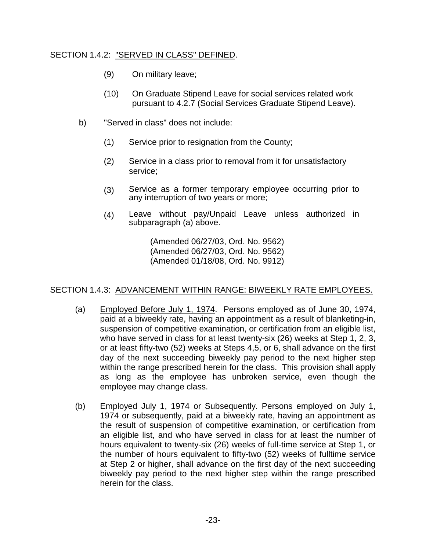## SECTION 1.4.2: "SERVED IN CLASS" DEFINED.

- (9) On military leave;
- (10) On Graduate Stipend Leave for social services related work pursuant to 4.2.7 (Social Services Graduate Stipend Leave).
- b) "Served in class" does not include:
	- (1) Service prior to resignation from the County;
	- (2) Service in a class prior to removal from it for unsatisfactory service;
	- (3) Service as a former temporary employee occurring prior to any interruption of two years or more;
	- (4) Leave without pay/Unpaid Leave unless authorized in subparagraph (a) above.

(Amended 06/27/03, Ord. No. 9562) (Amended 06/27/03, Ord. No. 9562) (Amended 01/18/08, Ord. No. 9912)

## SECTION 1.4.3: ADVANCEMENT WITHIN RANGE: BIWEEKLY RATE EMPLOYEES.

- (a) Employed Before July 1, 1974. Persons employed as of June 30, 1974, paid at a biweekly rate, having an appointment as a result of blanketing-in, suspension of competitive examination, or certification from an eligible list, who have served in class for at least twenty-six (26) weeks at Step 1, 2, 3, or at least fifty-two (52) weeks at Steps 4,5, or 6, shall advance on the first day of the next succeeding biweekly pay period to the next higher step within the range prescribed herein for the class. This provision shall apply as long as the employee has unbroken service, even though the employee may change class.
- (b) Employed July 1, 1974 or Subsequently. Persons employed on July 1, 1974 or subsequently, paid at a biweekly rate, having an appointment as the result of suspension of competitive examination, or certification from an eligible list, and who have served in class for at least the number of hours equivalent to twenty-six (26) weeks of full-time service at Step 1, or the number of hours equivalent to fifty-two (52) weeks of fulltime service at Step 2 or higher, shall advance on the first day of the next succeeding biweekly pay period to the next higher step within the range prescribed herein for the class.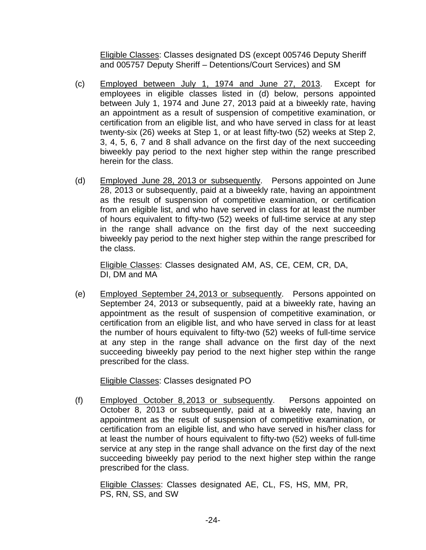Eligible Classes: Classes designated DS (except 005746 Deputy Sheriff and 005757 Deputy Sheriff – Detentions/Court Services) and SM

- (c) Employed between July 1, 1974 and June 27, 2013. Except for employees in eligible classes listed in (d) below, persons appointed between July 1, 1974 and June 27, 2013 paid at a biweekly rate, having an appointment as a result of suspension of competitive examination, or certification from an eligible list, and who have served in class for at least twenty-six (26) weeks at Step 1, or at least fifty-two (52) weeks at Step 2, 3, 4, 5, 6, 7 and 8 shall advance on the first day of the next succeeding biweekly pay period to the next higher step within the range prescribed herein for the class.
- (d) Employed June 28, 2013 or subsequently. Persons appointed on June 28, 2013 or subsequently, paid at a biweekly rate, having an appointment as the result of suspension of competitive examination, or certification from an eligible list, and who have served in class for at least the number of hours equivalent to fifty-two (52) weeks of full-time service at any step in the range shall advance on the first day of the next succeeding biweekly pay period to the next higher step within the range prescribed for the class.

Eligible Classes: Classes designated AM, AS, CE, CEM, CR, DA, DI, DM and MA

(e) Employed September 24, 2013 or subsequently. Persons appointed on September 24, 2013 or subsequently, paid at a biweekly rate, having an appointment as the result of suspension of competitive examination, or certification from an eligible list, and who have served in class for at least the number of hours equivalent to fifty-two (52) weeks of full-time service at any step in the range shall advance on the first day of the next succeeding biweekly pay period to the next higher step within the range prescribed for the class.

Eligible Classes: Classes designated PO

(f) Employed October 8, 2013 or subsequently. Persons appointed on October 8, 2013 or subsequently, paid at a biweekly rate, having an appointment as the result of suspension of competitive examination, or certification from an eligible list, and who have served in his/her class for at least the number of hours equivalent to fifty-two (52) weeks of full-time service at any step in the range shall advance on the first day of the next succeeding biweekly pay period to the next higher step within the range prescribed for the class.

Eligible Classes: Classes designated AE, CL, FS, HS, MM, PR, PS, RN, SS, and SW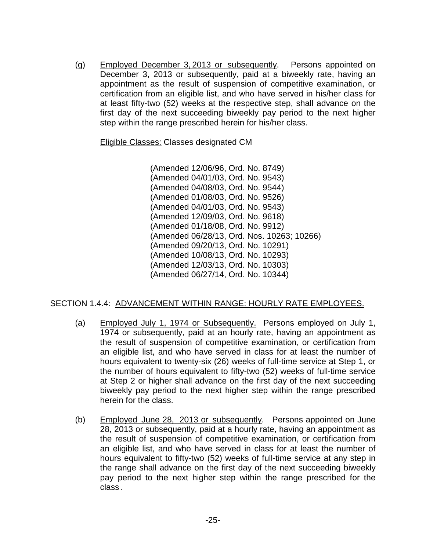(g) Employed December 3, 2013 or subsequently. Persons appointed on December 3, 2013 or subsequently, paid at a biweekly rate, having an appointment as the result of suspension of competitive examination, or certification from an eligible list, and who have served in his/her class for at least fifty-two (52) weeks at the respective step, shall advance on the first day of the next succeeding biweekly pay period to the next higher step within the range prescribed herein for his/her class.

Eligible Classes: Classes designated CM

(Amended 12/06/96, Ord. No. 8749) (Amended 04/01/03, Ord. No. 9543) (Amended 04/08/03, Ord. No. 9544) (Amended 01/08/03, Ord. No. 9526) (Amended 04/01/03, Ord. No. 9543) (Amended 12/09/03, Ord. No. 9618) (Amended 01/18/08, Ord. No. 9912) (Amended 06/28/13, Ord. Nos. 10263; 10266) (Amended 09/20/13, Ord. No. 10291) (Amended 10/08/13, Ord. No. 10293) (Amended 12/03/13, Ord. No. 10303) (Amended 06/27/14, Ord. No. 10344)

## SECTION 1.4.4: ADVANCEMENT WITHIN RANGE: HOURLY RATE EMPLOYEES.

- (a) Employed July 1, 1974 or Subsequently. Persons employed on July 1, 1974 or subsequently, paid at an hourly rate, having an appointment as the result of suspension of competitive examination, or certification from an eligible list, and who have served in class for at least the number of hours equivalent to twenty-six (26) weeks of full-time service at Step 1, or the number of hours equivalent to fifty-two (52) weeks of full-time service at Step 2 or higher shall advance on the first day of the next succeeding biweekly pay period to the next higher step within the range prescribed herein for the class.
- (b) Employed June 28, 2013 or subsequently. Persons appointed on June 28, 2013 or subsequently, paid at a hourly rate, having an appointment as the result of suspension of competitive examination, or certification from an eligible list, and who have served in class for at least the number of hours equivalent to fifty-two (52) weeks of full-time service at any step in the range shall advance on the first day of the next succeeding biweekly pay period to the next higher step within the range prescribed for the class.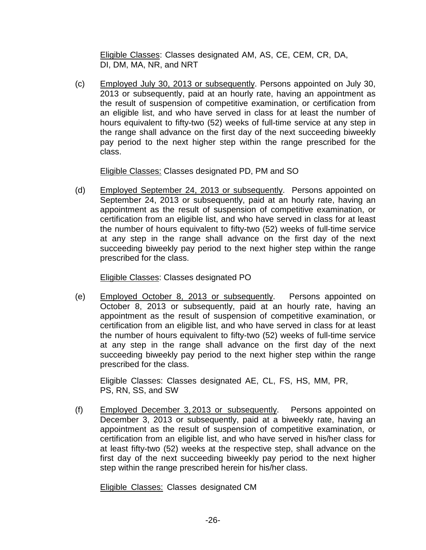Eligible Classes: Classes designated AM, AS, CE, CEM, CR, DA, DI, DM, MA, NR, and NRT

(c) Employed July 30, 2013 or subsequently. Persons appointed on July 30, 2013 or subsequently, paid at an hourly rate, having an appointment as the result of suspension of competitive examination, or certification from an eligible list, and who have served in class for at least the number of hours equivalent to fifty-two (52) weeks of full-time service at any step in the range shall advance on the first day of the next succeeding biweekly pay period to the next higher step within the range prescribed for the class.

Eligible Classes: Classes designated PD, PM and SO

(d) Employed September 24, 2013 or subsequently. Persons appointed on September 24, 2013 or subsequently, paid at an hourly rate, having an appointment as the result of suspension of competitive examination, or certification from an eligible list, and who have served in class for at least the number of hours equivalent to fifty-two (52) weeks of full-time service at any step in the range shall advance on the first day of the next succeeding biweekly pay period to the next higher step within the range prescribed for the class.

Eligible Classes: Classes designated PO

(e) Employed October 8, 2013 or subsequently. Persons appointed on October 8, 2013 or subsequently, paid at an hourly rate, having an appointment as the result of suspension of competitive examination, or certification from an eligible list, and who have served in class for at least the number of hours equivalent to fifty-two (52) weeks of full-time service at any step in the range shall advance on the first day of the next succeeding biweekly pay period to the next higher step within the range prescribed for the class.

Eligible Classes: Classes designated AE, CL, FS, HS, MM, PR, PS, RN, SS, and SW

(f) Employed December 3, 2013 or subsequently. Persons appointed on December 3, 2013 or subsequently, paid at a biweekly rate, having an appointment as the result of suspension of competitive examination, or certification from an eligible list, and who have served in his/her class for at least fifty-two (52) weeks at the respective step, shall advance on the first day of the next succeeding biweekly pay period to the next higher step within the range prescribed herein for his/her class.

Eligible Classes: Classes designated CM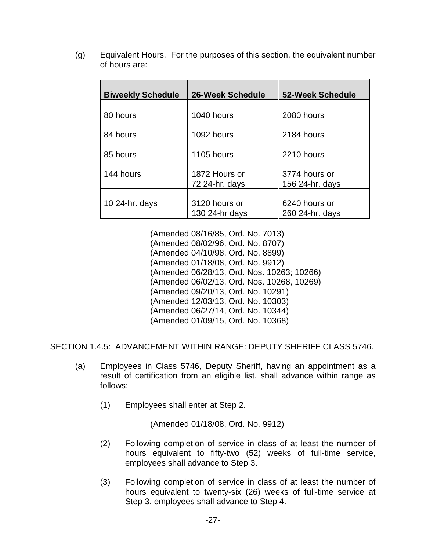(g) Equivalent Hours. For the purposes of this section, the equivalent number of hours are:

| <b>Biweekly Schedule</b> | <b>26-Week Schedule</b>            | <b>52-Week Schedule</b>          |
|--------------------------|------------------------------------|----------------------------------|
| 80 hours                 | 1040 hours                         | 2080 hours                       |
| 84 hours                 | 1092 hours                         | 2184 hours                       |
| 85 hours                 | 1105 hours                         | 2210 hours                       |
| 144 hours                | 1872 Hours or                      | 3774 hours or                    |
|                          | 72 24-hr. days                     | 156 24-hr. days                  |
| 10 24-hr. days           | 3120 hours or<br>130 $24$ -hr days | 6240 hours or<br>260 24-hr. days |

(Amended 08/16/85, Ord. No. 7013) (Amended 08/02/96, Ord. No. 8707) (Amended 04/10/98, Ord. No. 8899) (Amended 01/18/08, Ord. No. 9912) (Amended 06/28/13, Ord. Nos. 10263; 10266) (Amended 06/02/13, Ord. Nos. 10268, 10269) (Amended 09/20/13, Ord. No. 10291) (Amended 12/03/13, Ord. No. 10303) (Amended 06/27/14, Ord. No. 10344) (Amended 01/09/15, Ord. No. 10368)

SECTION 1.4.5: ADVANCEMENT WITHIN RANGE: DEPUTY SHERIFF CLASS 5746.

- (a) Employees in Class 5746, Deputy Sheriff, having an appointment as a result of certification from an eligible list, shall advance within range as follows:
	- (1) Employees shall enter at Step 2.

(Amended 01/18/08, Ord. No. 9912)

- (2) Following completion of service in class of at least the number of hours equivalent to fifty-two (52) weeks of full-time service, employees shall advance to Step 3.
- (3) Following completion of service in class of at least the number of hours equivalent to twenty-six (26) weeks of full-time service at Step 3, employees shall advance to Step 4.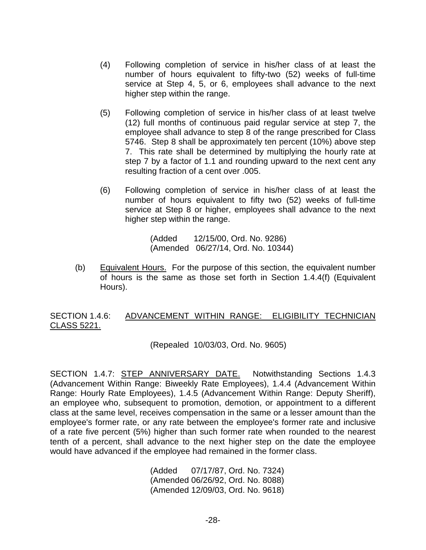- (4) Following completion of service in his/her class of at least the number of hours equivalent to fifty-two (52) weeks of full-time service at Step 4, 5, or 6, employees shall advance to the next higher step within the range.
- (5) Following completion of service in his/her class of at least twelve (12) full months of continuous paid regular service at step 7, the employee shall advance to step 8 of the range prescribed for Class 5746. Step 8 shall be approximately ten percent (10%) above step 7. This rate shall be determined by multiplying the hourly rate at step 7 by a factor of 1.1 and rounding upward to the next cent any resulting fraction of a cent over .005.
- (6) Following completion of service in his/her class of at least the number of hours equivalent to fifty two (52) weeks of full-time service at Step 8 or higher, employees shall advance to the next higher step within the range.

(Added 12/15/00, Ord. No. 9286) (Amended 06/27/14, Ord. No. 10344)

(b) Equivalent Hours. For the purpose of this section, the equivalent number of hours is the same as those set forth in Section 1.4.4(f) (Equivalent Hours).

## SECTION 1.4.6: ADVANCEMENT WITHIN RANGE: ELIGIBILITY TECHNICIAN CLASS 5221.

(Repealed 10/03/03, Ord. No. 9605)

SECTION 1.4.7: STEP ANNIVERSARY DATE. Notwithstanding Sections 1.4.3 (Advancement Within Range: Biweekly Rate Employees), 1.4.4 (Advancement Within Range: Hourly Rate Employees), 1.4.5 (Advancement Within Range: Deputy Sheriff), an employee who, subsequent to promotion, demotion, or appointment to a different class at the same level, receives compensation in the same or a lesser amount than the employee's former rate, or any rate between the employee's former rate and inclusive of a rate five percent (5%) higher than such former rate when rounded to the nearest tenth of a percent, shall advance to the next higher step on the date the employee would have advanced if the employee had remained in the former class.

> (Added 07/17/87, Ord. No. 7324) (Amended 06/26/92, Ord. No. 8088) (Amended 12/09/03, Ord. No. 9618)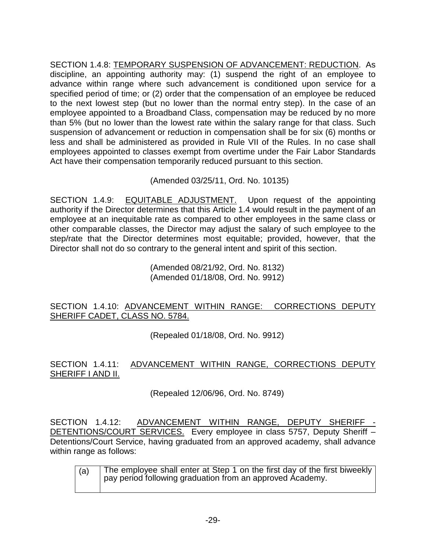SECTION 1.4.8: TEMPORARY SUSPENSION OF ADVANCEMENT: REDUCTION. As discipline, an appointing authority may: (1) suspend the right of an employee to advance within range where such advancement is conditioned upon service for a specified period of time; or (2) order that the compensation of an employee be reduced to the next lowest step (but no lower than the normal entry step). In the case of an employee appointed to a Broadband Class, compensation may be reduced by no more than 5% (but no lower than the lowest rate within the salary range for that class. Such suspension of advancement or reduction in compensation shall be for six (6) months or less and shall be administered as provided in Rule VII of the Rules. In no case shall employees appointed to classes exempt from overtime under the Fair Labor Standards Act have their compensation temporarily reduced pursuant to this section.

(Amended 03/25/11, Ord. No. 10135)

SECTION 1.4.9: EQUITABLE ADJUSTMENT. Upon request of the appointing authority if the Director determines that this Article 1.4 would result in the payment of an employee at an inequitable rate as compared to other employees in the same class or other comparable classes, the Director may adjust the salary of such employee to the step/rate that the Director determines most equitable; provided, however, that the Director shall not do so contrary to the general intent and spirit of this section.

> (Amended 08/21/92, Ord. No. 8132) (Amended 01/18/08, Ord. No. 9912)

# SECTION 1.4.10: ADVANCEMENT WITHIN RANGE: CORRECTIONS DEPUTY SHERIFF CADET, CLASS NO. 5784.

(Repealed 01/18/08, Ord. No. 9912)

# SECTION 1.4.11: ADVANCEMENT WITHIN RANGE, CORRECTIONS DEPUTY SHERIFF I AND II.

(Repealed 12/06/96, Ord. No. 8749)

SECTION 1.4.12: ADVANCEMENT WITHIN RANGE, DEPUTY SHERIFF - DETENTIONS/COURT SERVICES. Every employee in class 5757, Deputy Sheriff -Detentions/Court Service, having graduated from an approved academy, shall advance within range as follows:

| (a) | The employee shall enter at Step 1 on the first day of the first biweekly<br>pay period following graduation from an approved Academy. |
|-----|----------------------------------------------------------------------------------------------------------------------------------------|
|     |                                                                                                                                        |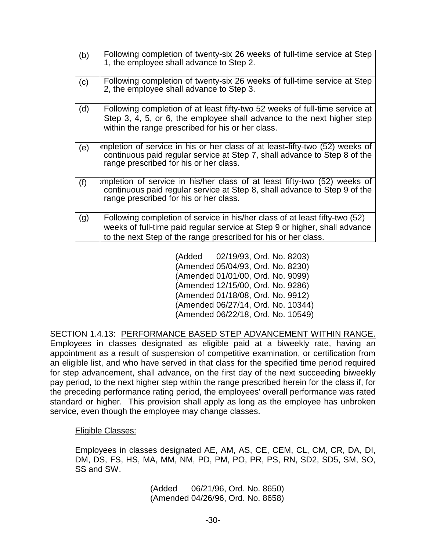| (b) | Following completion of twenty-six 26 weeks of full-time service at Step<br>1, the employee shall advance to Step 2.                                                                                                        |
|-----|-----------------------------------------------------------------------------------------------------------------------------------------------------------------------------------------------------------------------------|
| (c) | Following completion of twenty-six 26 weeks of full-time service at Step<br>2, the employee shall advance to Step 3.                                                                                                        |
| (d) | Following completion of at least fifty-two 52 weeks of full-time service at<br>Step 3, 4, 5, or 6, the employee shall advance to the next higher step<br>within the range prescribed for his or her class.                  |
| (e) | mpletion of service in his or her class of at least-fifty-two (52) weeks of<br>continuous paid regular service at Step 7, shall advance to Step 8 of the<br>range prescribed for his or her class.                          |
| (f) | mpletion of service in his/her class of at least fifty-two (52) weeks of<br>continuous paid regular service at Step 8, shall advance to Step 9 of the<br>range prescribed for his or her class.                             |
| (g) | Following completion of service in his/her class of at least fifty-two (52)<br>weeks of full-time paid regular service at Step 9 or higher, shall advance<br>to the next Step of the range prescribed for his or her class. |

(Added 02/19/93, Ord. No. 8203) (Amended 05/04/93, Ord. No. 8230) (Amended 01/01/00, Ord. No. 9099) (Amended 12/15/00, Ord. No. 9286) (Amended 01/18/08, Ord. No. 9912) (Amended 06/27/14, Ord. No. 10344) (Amended 06/22/18, Ord. No. 10549)

SECTION 1.4.13: PERFORMANCE BASED STEP ADVANCEMENT WITHIN RANGE. Employees in classes designated as eligible paid at a biweekly rate, having an appointment as a result of suspension of competitive examination, or certification from an eligible list, and who have served in that class for the specified time period required for step advancement, shall advance, on the first day of the next succeeding biweekly pay period, to the next higher step within the range prescribed herein for the class if, for the preceding performance rating period, the employees' overall performance was rated standard or higher. This provision shall apply as long as the employee has unbroken service, even though the employee may change classes.

#### Eligible Classes:

Employees in classes designated AE, AM, AS, CE, CEM, CL, CM, CR, DA, DI, DM, DS, FS, HS, MA, MM, NM, PD, PM, PO, PR, PS, RN, SD2, SD5, SM, SO, SS and SW.

> (Added 06/21/96, Ord. No. 8650) (Amended 04/26/96, Ord. No. 8658)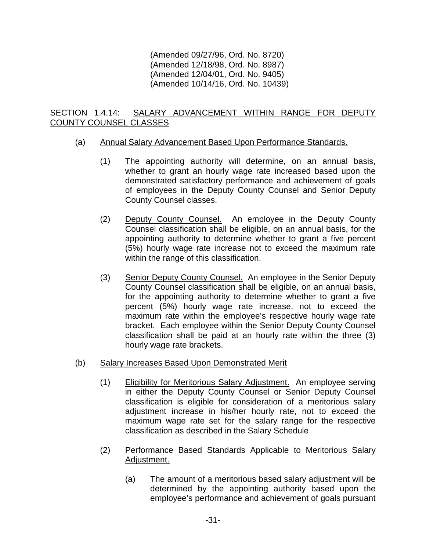(Amended 09/27/96, Ord. No. 8720) (Amended 12/18/98, Ord. No. 8987) (Amended 12/04/01, Ord. No. 9405) (Amended 10/14/16, Ord. No. 10439)

## SECTION 1.4.14: SALARY ADVANCEMENT WITHIN RANGE FOR DEPUTY COUNTY COUNSEL CLASSES

## (a) Annual Salary Advancement Based Upon Performance Standards.

- (1) The appointing authority will determine, on an annual basis, whether to grant an hourly wage rate increased based upon the demonstrated satisfactory performance and achievement of goals of employees in the Deputy County Counsel and Senior Deputy County Counsel classes.
- (2) Deputy County Counsel. An employee in the Deputy County Counsel classification shall be eligible, on an annual basis, for the appointing authority to determine whether to grant a five percent (5%) hourly wage rate increase not to exceed the maximum rate within the range of this classification.
- (3) Senior Deputy County Counsel. An employee in the Senior Deputy County Counsel classification shall be eligible, on an annual basis, for the appointing authority to determine whether to grant a five percent (5%) hourly wage rate increase, not to exceed the maximum rate within the employee's respective hourly wage rate bracket. Each employee within the Senior Deputy County Counsel classification shall be paid at an hourly rate within the three (3) hourly wage rate brackets.
- (b) Salary Increases Based Upon Demonstrated Merit
	- (1) Eligibility for Meritorious Salary Adjustment. An employee serving in either the Deputy County Counsel or Senior Deputy Counsel classification is eligible for consideration of a meritorious salary adjustment increase in his/her hourly rate, not to exceed the maximum wage rate set for the salary range for the respective classification as described in the Salary Schedule
	- (2) Performance Based Standards Applicable to Meritorious Salary Adjustment.
		- (a) The amount of a meritorious based salary adjustment will be determined by the appointing authority based upon the employee's performance and achievement of goals pursuant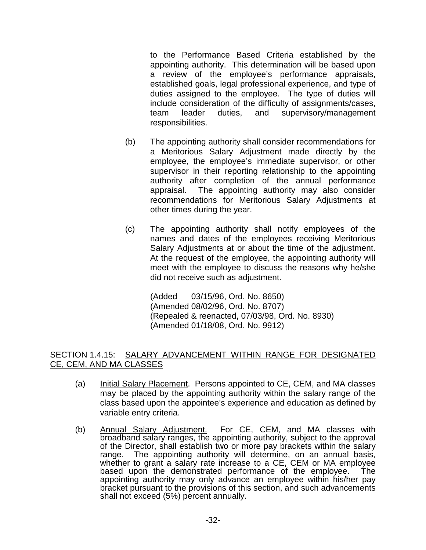to the Performance Based Criteria established by the appointing authority. This determination will be based upon a review of the employee's performance appraisals, established goals, legal professional experience, and type of duties assigned to the employee. The type of duties will include consideration of the difficulty of assignments/cases, team leader duties, and supervisory/management responsibilities.

- (b) The appointing authority shall consider recommendations for a Meritorious Salary Adjustment made directly by the employee, the employee's immediate supervisor, or other supervisor in their reporting relationship to the appointing authority after completion of the annual performance appraisal. The appointing authority may also consider recommendations for Meritorious Salary Adjustments at other times during the year.
- (c) The appointing authority shall notify employees of the names and dates of the employees receiving Meritorious Salary Adjustments at or about the time of the adjustment. At the request of the employee, the appointing authority will meet with the employee to discuss the reasons why he/she did not receive such as adjustment.

(Added 03/15/96, Ord. No. 8650) (Amended 08/02/96, Ord. No. 8707) (Repealed & reenacted, 07/03/98, Ord. No. 8930) (Amended 01/18/08, Ord. No. 9912)

## SECTION 1.4.15: SALARY ADVANCEMENT WITHIN RANGE FOR DESIGNATED CE, CEM, AND MA CLASSES

- (a) Initial Salary Placement. Persons appointed to CE, CEM, and MA classes may be placed by the appointing authority within the salary range of the class based upon the appointee's experience and education as defined by variable entry criteria.
- (b) Annual Salary Adjustment. For CE, CEM, and MA classes with broadband salary ranges, the appointing authority, subject to the approval of the Director, shall establish two or more pay brackets within the salary range. The appointing authority will determine, on an annual basis, whether to grant a salary rate increase to a CE, CEM or MA employee based upon the demonstrated performance of the employee. The appointing authority may only advance an employee within his/her pay bracket pursuant to the provisions of this section, and such advancements shall not exceed (5%) percent annually.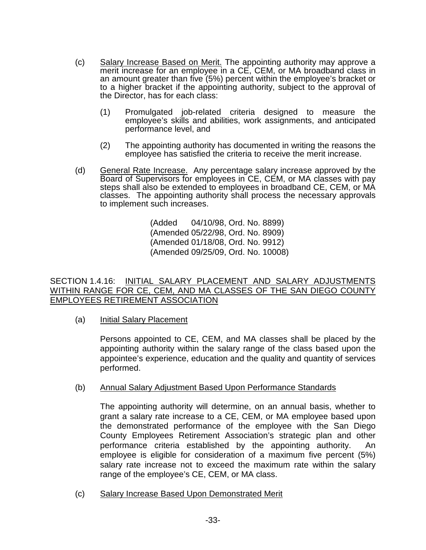- (c) Salary Increase Based on Merit. The appointing authority may approve a merit increase for an employee in a CE, CEM, or MA broadband class in an amount greater than five (5%) percent within the employee's bracket or to a higher bracket if the appointing authority, subject to the approval of the Director, has for each class:
	- (1) Promulgated job-related criteria designed to measure the emplovee's skills and abilities, work assignments, and anticipated performance level, and
	- (2) The appointing authority has documented in writing the reasons the employee has satisfied the criteria to receive the merit increase.
- (d) General Rate Increase. Any percentage salary increase approved by the Board of Supervisors for employees in CE, CEM, or MA classes with pay steps shall also be extended to employees in broadband CE, CEM, or MA classes. The appointing authority shall process the necessary approvals to implement such increases.

(Added 04/10/98, Ord. No. 8899) (Amended 05/22/98, Ord. No. 8909) (Amended 01/18/08, Ord. No. 9912) (Amended 09/25/09, Ord. No. 10008)

## SECTION 1.4.16: INITIAL SALARY PLACEMENT AND SALARY ADJUSTMENTS WITHIN RANGE FOR CE, CEM, AND MA CLASSES OF THE SAN DIEGO COUNTY EMPLOYEES RETIREMENT ASSOCIATION

(a) Initial Salary Placement

Persons appointed to CE, CEM, and MA classes shall be placed by the appointing authority within the salary range of the class based upon the appointee's experience, education and the quality and quantity of services performed.

#### (b) Annual Salary Adjustment Based Upon Performance Standards

The appointing authority will determine, on an annual basis, whether to grant a salary rate increase to a CE, CEM, or MA employee based upon the demonstrated performance of the employee with the San Diego County Employees Retirement Association's strategic plan and other performance criteria established by the appointing authority. An employee is eligible for consideration of a maximum five percent (5%) salary rate increase not to exceed the maximum rate within the salary range of the employee's CE, CEM, or MA class.

(c) Salary Increase Based Upon Demonstrated Merit